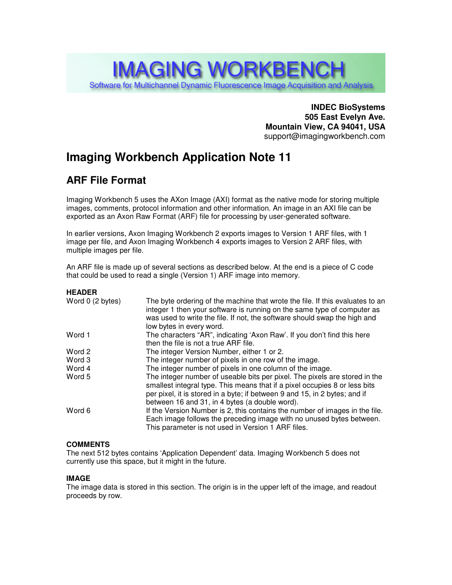# **IMAGING WORKBENCH** Software for Multichannel Dynamic Fluorescence Image Acquisition and Analysis

**INDEC BioSystems 505 East Evelyn Ave. Mountain View, CA 94041, USA** support@imagingworkbench.com

## **Imaging Workbench Application Note 11**

### **ARF File Format**

Imaging Workbench 5 uses the AXon Image (AXI) format as the native mode for storing multiple images, comments, protocol information and other information. An image in an AXI file can be exported as an Axon Raw Format (ARF) file for processing by user-generated software.

In earlier versions, Axon Imaging Workbench 2 exports images to Version 1 ARF files, with 1 image per file, and Axon Imaging Workbench 4 exports images to Version 2 ARF files, with multiple images per file.

An ARF file is made up of several sections as described below. At the end is a piece of C code that could be used to read a single (Version 1) ARF image into memory.

#### **HEADER**

| Word 0 (2 bytes) | The byte ordering of the machine that wrote the file. If this evaluates to an<br>integer 1 then your software is running on the same type of computer as<br>was used to write the file. If not, the software should swap the high and<br>low bytes in every word.                        |
|------------------|------------------------------------------------------------------------------------------------------------------------------------------------------------------------------------------------------------------------------------------------------------------------------------------|
| Word 1           | The characters "AR", indicating 'Axon Raw'. If you don't find this here<br>then the file is not a true ARF file.                                                                                                                                                                         |
| Word 2           | The integer Version Number, either 1 or 2.                                                                                                                                                                                                                                               |
| Word 3           | The integer number of pixels in one row of the image.                                                                                                                                                                                                                                    |
| Word 4           | The integer number of pixels in one column of the image.                                                                                                                                                                                                                                 |
| Word 5           | The integer number of useable bits per pixel. The pixels are stored in the<br>smallest integral type. This means that if a pixel occupies 8 or less bits<br>per pixel, it is stored in a byte; if between 9 and 15, in 2 bytes; and if<br>between 16 and 31, in 4 bytes (a double word). |
| Word 6           | If the Version Number is 2, this contains the number of images in the file.<br>Each image follows the preceding image with no unused bytes between.<br>This parameter is not used in Version 1 ARF files.                                                                                |
|                  |                                                                                                                                                                                                                                                                                          |

#### **COMMENTS**

The next 512 bytes contains 'Application Dependent' data. Imaging Workbench 5 does not currently use this space, but it might in the future.

#### **IMAGE**

The image data is stored in this section. The origin is in the upper left of the image, and readout proceeds by row.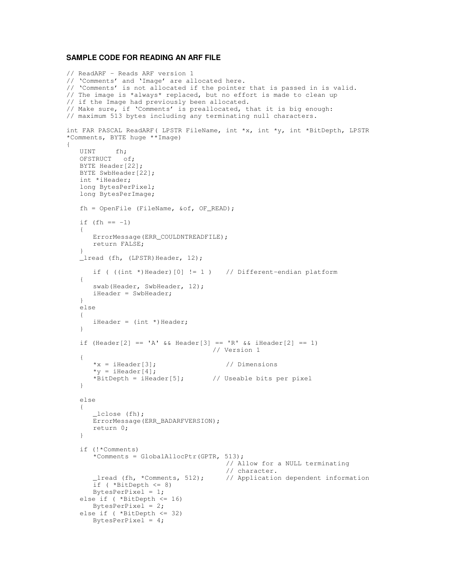#### **SAMPLE CODE FOR READING AN ARF FILE**

```
// ReadARF - Reads ARF version 1
// 'Comments' and 'Image' are allocated here.
// 'Comments' is not allocated if the pointer that is passed in is valid.
// The image is *always* replaced, but no effort is made to clean up
// if the Image had previously been allocated.
// Make sure, if 'Comments' is preallocated, that it is big enough:
// maximum 513 bytes including any terminating null characters.
int FAR PASCAL ReadARF( LPSTR FileName, int *x, int *y, int *BitDepth, LPSTR
*Comments, BYTE huge **Image)
{
   UINT fh;
   OFSTRUCT of;
  BYTE Header[22];
   BYTE SwbHeader[22];
   int *iHeader;
   long BytesPerPixel;
   long BytesPerImage;
   fh = OpenFile (FileName, &of, OF_READ);
   if (fh == -1)
   {
      ErrorMessage(ERR_COULDNTREADFILE);
      return FALSE;
   }
   _lread (fh, (LPSTR) Header, 12);
      if ( ((int *)Header)[0] != 1 ) // Different-endian platform
   {
      swab(Header, SwbHeader, 12);
      iHeader = SwbHeader;
   }
   else
   {
      iHeader = (int *) Header;
   }
   if (Header[2] == 'A' && Header[3] == 'R' && iHeader[2] == 1)
                                    // Version 1
   {
      *_{X} = iHeader[3]; // Dimensions
      *_y = iHeader[4];
      *BitDepth = iHeader[5]; \qquad // Useable bits per pixel
   }
   else
   {
      _lclose (fh);
      ErrorMessage(ERR_BADARFVERSION);
      return 0;
   }
   if (!*Comments)
      *Comments = GlobalAllocPtr(GPTR, 513);
                                        // Allow for a NULL terminating
                                        // character.
       _lread (fh, *Comments, 512); // Application dependent information
      if (*BitDepth <= 8)BytesPerPixel = 1;
   else if ( *BitDepth <= 16)
      BytesPerPixel = 2;
   else if ( *BitDepth <= 32)
      BytesPerPixel = 4;
```